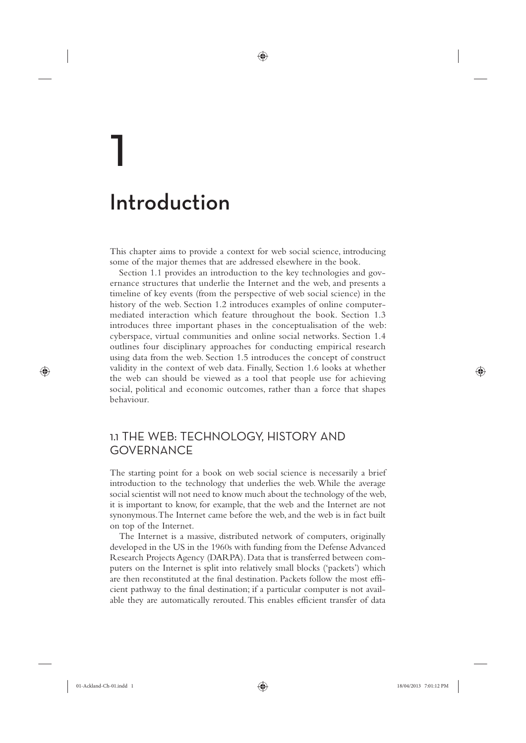# **Introduction**

1

⊕

This chapter aims to provide a context for web social science, introducing some of the major themes that are addressed elsewhere in the book.

Section 1.1 provides an introduction to the key technologies and governance structures that underlie the Internet and the web, and presents a timeline of key events (from the perspective of web social science) in the history of the web. Section 1.2 introduces examples of online computermediated interaction which feature throughout the book. Section 1.3 introduces three important phases in the conceptualisation of the web: cyberspace, virtual communities and online social networks. Section 1.4 outlines four disciplinary approaches for conducting empirical research using data from the web. Section 1.5 introduces the concept of construct validity in the context of web data. Finally, Section 1.6 looks at whether the web can should be viewed as a tool that people use for achieving social, political and economic outcomes, rather than a force that shapes behaviour.

# 1.1 THE WEB: TECHNOLOGY, HISTORY AND GOVERNANCE

The starting point for a book on web social science is necessarily a brief introduction to the technology that underlies the web. While the average social scientist will not need to know much about the technology of the web, it is important to know, for example, that the web and the Internet are not synonymous. The Internet came before the web, and the web is in fact built on top of the Internet.

The Internet is a massive, distributed network of computers, originally developed in the US in the 1960s with funding from the Defense Advanced Research Projects Agency (DARPA). Data that is transferred between computers on the Internet is split into relatively small blocks ('packets') which are then reconstituted at the final destination. Packets follow the most efficient pathway to the final destination; if a particular computer is not available they are automatically rerouted. This enables efficient transfer of data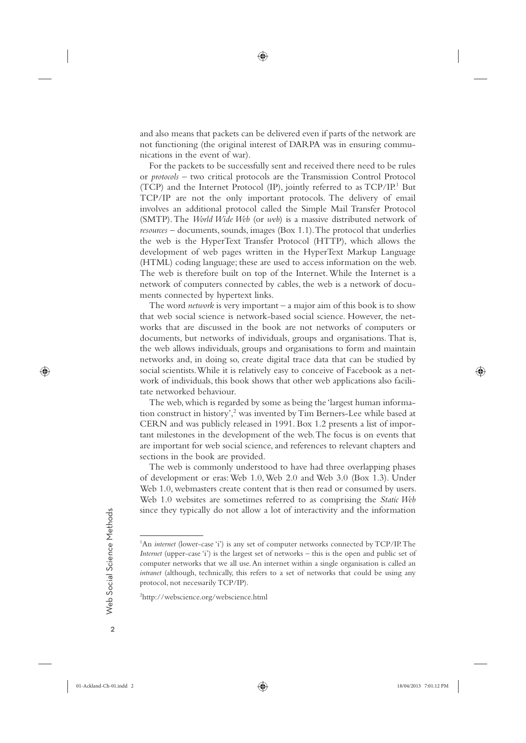and also means that packets can be delivered even if parts of the network are not functioning (the original interest of DARPA was in ensuring communications in the event of war).

♠

For the packets to be successfully sent and received there need to be rules or *protocols* – two critical protocols are the Transmission Control Protocol (TCP) and the Internet Protocol (IP), jointly referred to as TCP/IP.<sup>1</sup> But TCP/IP are not the only important protocols. The delivery of email involves an additional protocol called the Simple Mail Transfer Protocol (SMTP). The *World Wide Web* (or *web*) is a massive distributed network of *resources* – documents, sounds, images (Box 1.1). The protocol that underlies the web is the HyperText Transfer Protocol (HTTP), which allows the development of web pages written in the HyperText Markup Language (HTML) coding language; these are used to access information on the web. The web is therefore built on top of the Internet. While the Internet is a network of computers connected by cables, the web is a network of documents connected by hypertext links.

The word *network* is very important – a major aim of this book is to show that web social science is network-based social science. However, the networks that are discussed in the book are not networks of computers or documents, but networks of individuals, groups and organisations. That is, the web allows individuals, groups and organisations to form and maintain networks and, in doing so, create digital trace data that can be studied by social scientists. While it is relatively easy to conceive of Facebook as a network of individuals, this book shows that other web applications also facilitate networked behaviour.

The web, which is regarded by some as being the 'largest human information construct in history',<sup>2</sup> was invented by Tim Berners-Lee while based at CERN and was publicly released in 1991. Box 1.2 presents a list of important milestones in the development of the web. The focus is on events that are important for web social science, and references to relevant chapters and sections in the book are provided.

The web is commonly understood to have had three overlapping phases of development or eras: Web 1.0, Web 2.0 and Web 3.0 (Box 1.3). Under Web 1.0, webmasters create content that is then read or consumed by users. Web 1.0 websites are sometimes referred to as comprising the *Static Web* since they typically do not allow a lot of interactivity and the information

2Web Social Science Methods  $\overline{2}$ 

Web Social Science Methods

◈

<sup>&</sup>lt;sup>1</sup>An *internet* (lower-case 'i') is any set of computer networks connected by TCP/IP. The *Internet* (upper-case 'i') is the largest set of networks – this is the open and public set of computer networks that we all use. An internet within a single organisation is called an *intranet* (although, technically, this refers to a set of networks that could be using any protocol, not necessarily TCP/IP).

<sup>2</sup> http://webscience.org/webscience.html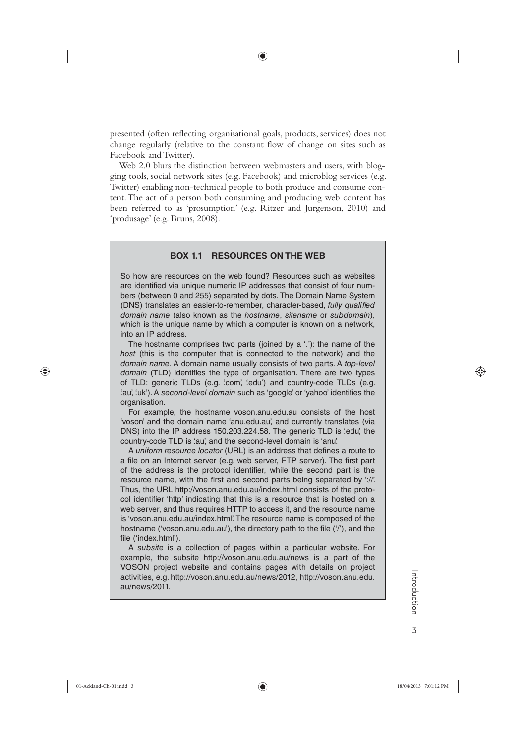presented (often reflecting organisational goals, products, services) does not change regularly (relative to the constant flow of change on sites such as Facebook and Twitter).

◈

Web 2.0 blurs the distinction between webmasters and users, with blogging tools, social network sites (e.g. Facebook) and microblog services (e.g. Twitter) enabling non-technical people to both produce and consume content. The act of a person both consuming and producing web content has been referred to as 'prosumption' (e.g. Ritzer and Jurgenson, 2010) and 'produsage' (e.g. Bruns, 2008).

### **BOX 1.1 RESOURCES ON THE WEB**

So how are resources on the web found? Resources such as websites are identified via unique numeric IP addresses that consist of four numbers (between 0 and 255) separated by dots. The Domain Name System (DNS) translates an easier-to-remember, character-based, fully qualified domain name (also known as the hostname, sitename or subdomain), which is the unique name by which a computer is known on a network, into an IP address.

The hostname comprises two parts (joined by  $a'$ .): the name of the host (this is the computer that is connected to the network) and the domain name. A domain name usually consists of two parts. A top-level domain (TLD) identifies the type of organisation. There are two types of TLD: generic TLDs (e.g. '.com', '.edu') and country-code TLDs (e.g. '.au', '.uk'). A second-level domain such as 'google' or 'yahoo' identifies the organisation.

◈

For example, the hostname voson.anu.edu.au consists of the host 'voson' and the domain name 'anu.edu.au', and currently translates (via DNS) into the IP address 150.203.224.58. The generic TLD is 'edu', the country-code TLD is '.au', and the second-level domain is 'anu'.

A uniform resource locator (URL) is an address that defines a route to a file on an Internet server (e.g. web server, FTP server). The first part of the address is the protocol identifier, while the second part is the resource name, with the first and second parts being separated by '://'. Thus, the URL http://voson.anu.edu.au/index.html consists of the protocol identifier 'http' indicating that this is a resource that is hosted on a web server, and thus requires HTTP to access it, and the resource name is 'voson.anu.edu.au/index.html'. The resource name is composed of the hostname ('voson.anu.edu.au'), the directory path to the file ('/'), and the file ('index.html').

A subsite is a collection of pages within a particular website. For example, the subsite http://voson.anu.edu.au/news is a part of the VOSON project website and contains pages with details on project activities, e.g. http://voson.anu.edu.au/news/2012, http://voson.anu.edu. au/news/2011.

 $\overline{3}$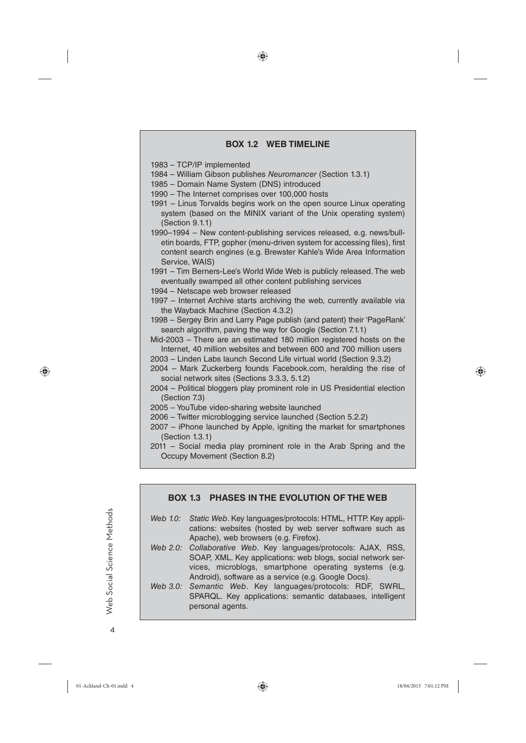### **BOX 1.2 WEB TIMELINE**

1983 – TCP/IP implemented

1984 – William Gibson publishes Neuromancer (Section 1.3.1)

♠

1985 – Domain Name System (DNS) introduced

- 1990 The Internet comprises over 100,000 hosts
- 1991 Linus Torvalds begins work on the open source Linux operating system (based on the MINIX variant of the Unix operating system) (Section 9.1.1)
- 1990–1994 New content-publishing services released, e.g. news/bulletin boards, FTP, gopher (menu-driven system for accessing files), first content search engines (e.g. Brewster Kahle's Wide Area Information Service, WAIS)

1991 – Tim Berners-Lee's World Wide Web is publicly released. The web eventually swamped all other content publishing services

1994 – Netscape web browser released

1997 – Internet Archive starts archiving the web, currently available via the Wayback Machine (Section 4.3.2)

1998 – Sergey Brin and Larry Page publish (and patent) their 'PageRank' search algorithm, paving the way for Google (Section 7.1.1)

Mid-2003 – There are an estimated 180 million registered hosts on the Internet, 40 million websites and between 600 and 700 million users 2003 – Linden Labs launch Second Life virtual world (Section 9.3.2)

2004 – Mark Zuckerberg founds Facebook.com, heralding the rise of

social network sites (Sections 3.3.3, 5.1.2)

- 2004 Political bloggers play prominent role in US Presidential election (Section 7.3)
- 2005 YouTube video-sharing website launched
- 2006 Twitter microblogging service launched (Section 5.2.2)
- 2007 iPhone launched by Apple, igniting the market for smartphones (Section 1.3.1)
- 2011 Social media play prominent role in the Arab Spring and the Occupy Movement (Section 8.2)

### **BOX 1.3 PHASES IN THE EVOLUTION OF THE WEB**

- Web 1.0: Static Web. Key languages/protocols: HTML, HTTP. Key applications: websites (hosted by web server software such as Apache), web browsers (e.g. Firefox).
- Web 2.0: Collaborative Web. Key languages/protocols: AJAX, RSS, SOAP, XML. Key applications: web blogs, social network services, microblogs, smartphone operating systems (e.g. Android), software as a service (e.g. Google Docs).
- Web 3.0: Semantic Web. Key languages/protocols: RDF, SWRL, SPARQL. Key applications: semantic databases, intelligent personal agents.

4Web Social Science Methods  $\Delta$ 

Web Social Science Methods

⊕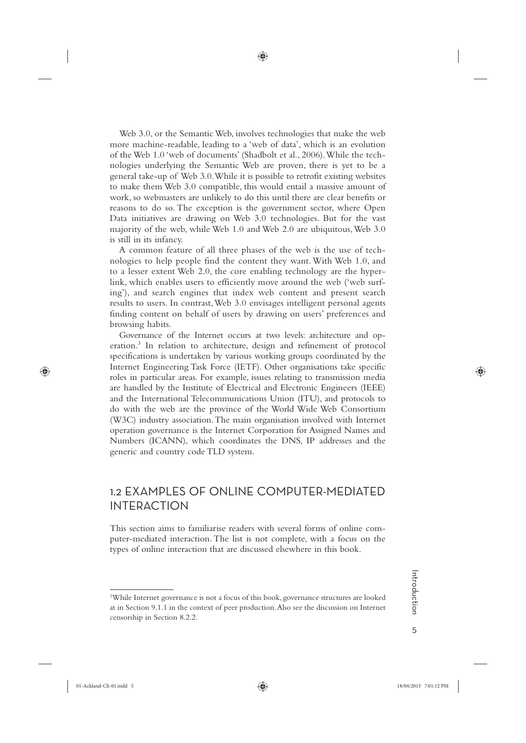Web 3.0, or the Semantic Web, involves technologies that make the web more machine-readable, leading to a 'web of data', which is an evolution of the Web 1.0 'web of documents' (Shadbolt et al., 2006). While the technologies underlying the Semantic Web are proven, there is yet to be a general take-up of Web 3.0. While it is possible to retrofit existing websites to make them Web 3.0 compatible, this would entail a massive amount of work, so webmasters are unlikely to do this until there are clear benefits or reasons to do so. The exception is the government sector, where Open Data initiatives are drawing on Web 3.0 technologies. But for the vast majority of the web, while Web 1.0 and Web 2.0 are ubiquitous, Web 3.0 is still in its infancy.

◈

A common feature of all three phases of the web is the use of technologies to help people find the content they want. With Web 1.0, and to a lesser extent Web 2.0, the core enabling technology are the hyperlink, which enables users to efficiently move around the web ('web surfing'), and search engines that index web content and present search results to users. In contrast, Web 3.0 envisages intelligent personal agents finding content on behalf of users by drawing on users' preferences and browsing habits.

Governance of the Internet occurs at two levels: architecture and operation.3 In relation to architecture, design and refinement of protocol specifications is undertaken by various working groups coordinated by the Internet Engineering Task Force (IETF). Other organisations take specific roles in particular areas. For example, issues relating to transmission media are handled by the Institute of Electrical and Electronic Engineers (IEEE) and the International Telecommunications Union (ITU), and protocols to do with the web are the province of the World Wide Web Consortium (W3C) industry association. The main organisation involved with Internet operation governance is the Internet Corporation for Assigned Names and Numbers (ICANN), which coordinates the DNS, IP addresses and the generic and country code TLD system.

# 1.2 EXAMPLES OF ONLINE COMPUTER-MEDIATED INTERACTION

This section aims to familiarise readers with several forms of online computer-mediated interaction. The list is not complete, with a focus on the types of online interaction that are discussed elsewhere in this book.

Introduction 5 Introduction

♠

<sup>&</sup>lt;sup>3</sup>While Internet governance is not a focus of this book, governance structures are looked at in Section 9.1.1 in the context of peer production. Also see the discussion on Internet censorship in Section 8.2.2.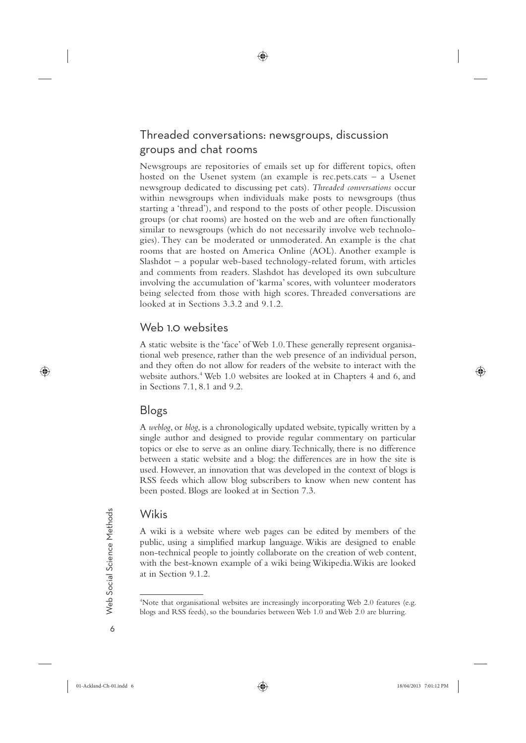# Threaded conversations: newsgroups, discussion groups and chat rooms

◈

Newsgroups are repositories of emails set up for different topics, often hosted on the Usenet system (an example is rec.pets.cats – a Usenet newsgroup dedicated to discussing pet cats). *Threaded conversations* occur within newsgroups when individuals make posts to newsgroups (thus starting a 'thread'), and respond to the posts of other people. Discussion groups (or chat rooms) are hosted on the web and are often functionally similar to newsgroups (which do not necessarily involve web technologies). They can be moderated or unmoderated. An example is the chat rooms that are hosted on America Online (AOL). Another example is Slashdot – a popular web-based technology-related forum, with articles and comments from readers. Slashdot has developed its own subculture involving the accumulation of 'karma' scores, with volunteer moderators being selected from those with high scores. Threaded conversations are looked at in Sections 3.3.2 and 9.1.2.

# Web 1.0 websites

A static website is the 'face' of Web 1.0. These generally represent organisational web presence, rather than the web presence of an individual person, and they often do not allow for readers of the website to interact with the website authors.<sup>4</sup> Web 1.0 websites are looked at in Chapters 4 and 6, and in Sections 7.1, 8.1 and 9.2.

# Blogs

A *weblog*, or *blog*, is a chronologically updated website, typically written by a single author and designed to provide regular commentary on particular topics or else to serve as an online diary. Technically, there is no difference between a static website and a blog: the differences are in how the site is used. However, an innovation that was developed in the context of blogs is RSS feeds which allow blog subscribers to know when new content has been posted. Blogs are looked at in Section 7.3.

# Wikis

A wiki is a website where web pages can be edited by members of the public, using a simplified markup language. Wikis are designed to enable non-technical people to jointly collaborate on the creation of web content, with the best-known example of a wiki being Wikipedia.Wikis are looked at in Section 9.1.2.

◈

01-Ackland-Ch-01.indd 6 18/04/2013 7:01:12 PM

<sup>4</sup> Note that organisational websites are increasingly incorporating Web 2.0 features (e.g. blogs and RSS feeds), so the boundaries between Web 1.0 and Web 2.0 are blurring.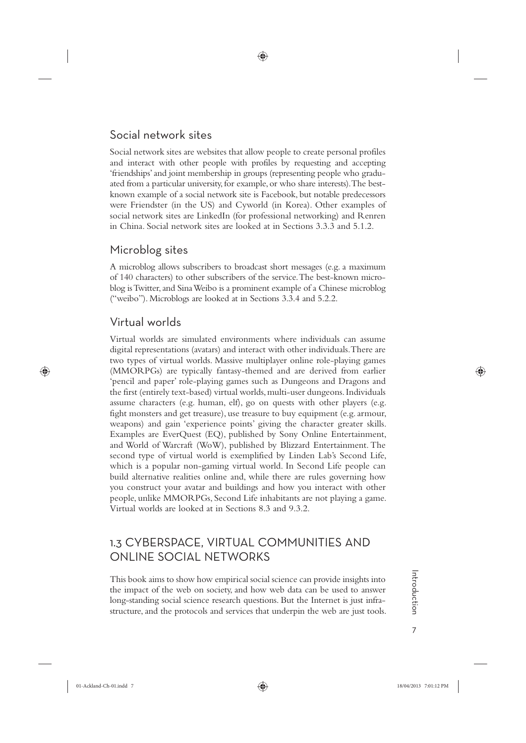# Social network sites

Social network sites are websites that allow people to create personal profiles and interact with other people with profiles by requesting and accepting 'friendships' and joint membership in groups (representing people who graduated from a particular university, for example, or who share interests). The bestknown example of a social network site is Facebook, but notable predecessors were Friendster (in the US) and Cyworld (in Korea). Other examples of social network sites are LinkedIn (for professional networking) and Renren in China. Social network sites are looked at in Sections 3.3.3 and 5.1.2.

◈

# Microblog sites

A microblog allows subscribers to broadcast short messages (e.g. a maximum of 140 characters) to other subscribers of the service. The best-known microblog is Twitter, and Sina Weibo is a prominent example of a Chinese microblog ("weibo"). Microblogs are looked at in Sections 3.3.4 and 5.2.2.

# Virtual worlds

⊕

Virtual worlds are simulated environments where individuals can assume digital representations (avatars) and interact with other individuals. There are two types of virtual worlds. Massive multiplayer online role-playing games (MMORPGs) are typically fantasy-themed and are derived from earlier 'pencil and paper' role-playing games such as Dungeons and Dragons and the first (entirely text-based) virtual worlds, multi-user dungeons. Individuals assume characters (e.g. human, elf), go on quests with other players (e.g. fight monsters and get treasure), use treasure to buy equipment (e.g. armour, weapons) and gain 'experience points' giving the character greater skills. Examples are EverQuest (EQ), published by Sony Online Entertainment, and World of Warcraft (WoW), published by Blizzard Entertainment. The second type of virtual world is exemplified by Linden Lab's Second Life, which is a popular non-gaming virtual world. In Second Life people can build alternative realities online and, while there are rules governing how you construct your avatar and buildings and how you interact with other people, unlike MMORPGs, Second Life inhabitants are not playing a game. Virtual worlds are looked at in Sections 8.3 and 9.3.2.

# 1.3 CYBERSPACE, VIRTUAL COMMUNITIES AND ONLINE SOCIAL NETWORKS

This book aims to show how empirical social science can provide insights into the impact of the web on society, and how web data can be used to answer long-standing social science research questions. But the Internet is just infrastructure, and the protocols and services that underpin the web are just tools.

Introduction 7 Introduction  $\overline{7}$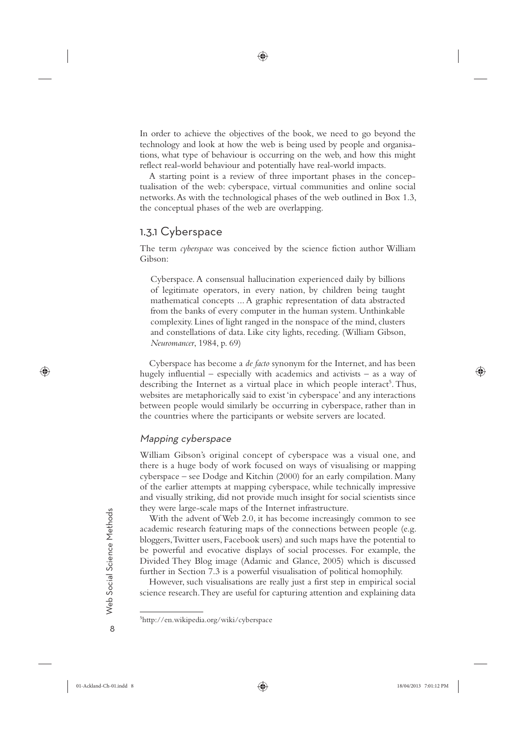In order to achieve the objectives of the book, we need to go beyond the technology and look at how the web is being used by people and organisations, what type of behaviour is occurring on the web, and how this might reflect real-world behaviour and potentially have real-world impacts.

♠

A starting point is a review of three important phases in the conceptualisation of the web: cyberspace, virtual communities and online social networks. As with the technological phases of the web outlined in Box 1.3, the conceptual phases of the web are overlapping.

### 1.3.1 Cyberspace

The term *cyberspace* was conceived by the science fiction author William Gibson:

Cyberspace. A consensual hallucination experienced daily by billions of legitimate operators, in every nation, by children being taught mathematical concepts ... A graphic representation of data abstracted from the banks of every computer in the human system. Unthinkable complexity. Lines of light ranged in the nonspace of the mind, clusters and constellations of data. Like city lights, receding. (William Gibson, *Neuromancer*, 1984, p. 69)

Cyberspace has become a *de facto* synonym for the Internet, and has been hugely influential – especially with academics and activists – as a way of describing the Internet as a virtual place in which people interact<sup>5</sup>. Thus, websites are metaphorically said to exist 'in cyberspace' and any interactions between people would similarly be occurring in cyberspace, rather than in the countries where the participants or website servers are located.

### Mapping cyberspace

William Gibson's original concept of cyberspace was a visual one, and there is a huge body of work focused on ways of visualising or mapping cyberspace – see Dodge and Kitchin (2000) for an early compilation. Many of the earlier attempts at mapping cyberspace, while technically impressive and visually striking, did not provide much insight for social scientists since they were large-scale maps of the Internet infrastructure.

With the advent of Web 2.0, it has become increasingly common to see academic research featuring maps of the connections between people (e.g. bloggers, Twitter users, Facebook users) and such maps have the potential to be powerful and evocative displays of social processes. For example, the Divided They Blog image (Adamic and Glance, 2005) which is discussed further in Section 7.3 is a powerful visualisation of political homophily.

However, such visualisations are really just a first step in empirical social science research. They are useful for capturing attention and explaining data

Web Social Science Methods 8Web Social Science Methods  $\mathsf{R}$ 

⊕

01-Ackland-Ch-01.indd 8 18/04/2013 7:01:12 PM

<sup>5</sup> http://en.wikipedia.org/wiki/cyberspace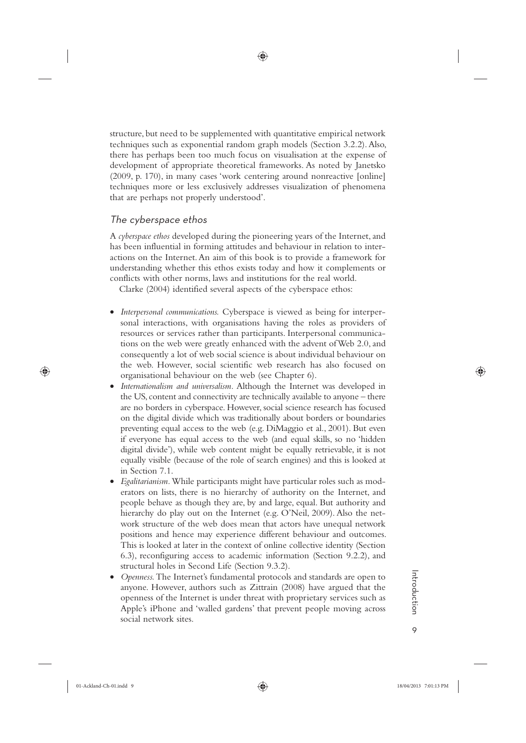structure, but need to be supplemented with quantitative empirical network techniques such as exponential random graph models (Section 3.2.2). Also, there has perhaps been too much focus on visualisation at the expense of development of appropriate theoretical frameworks. As noted by Janetsko (2009, p. 170), in many cases 'work centering around nonreactive [online] techniques more or less exclusively addresses visualization of phenomena that are perhaps not properly understood'.

### The cyberspace ethos

A *cyberspace ethos* developed during the pioneering years of the Internet, and has been influential in forming attitudes and behaviour in relation to interactions on the Internet. An aim of this book is to provide a framework for understanding whether this ethos exists today and how it complements or conflicts with other norms, laws and institutions for the real world.

Clarke (2004) identified several aspects of the cyberspace ethos:

- $\bullet$  *Interpersonal communications.* Cyberspace is viewed as being for interpersonal interactions, with organisations having the roles as providers of resources or services rather than participants. Interpersonal communications on the web were greatly enhanced with the advent of Web 2.0, and consequently a lot of web social science is about individual behaviour on the web. However, social scientific web research has also focused on organisational behaviour on the web (see Chapter 6).
- *Internationalism and universalism.* Although the Internet was developed in the US, content and connectivity are technically available to anyone – there are no borders in cyberspace. However, social science research has focused on the digital divide which was traditionally about borders or boundaries preventing equal access to the web (e.g. DiMaggio et al., 2001). But even if everyone has equal access to the web (and equal skills, so no 'hidden digital divide'), while web content might be equally retrievable, it is not equally visible (because of the role of search engines) and this is looked at in Section 7.1.
- *Egalitarianism*. While participants might have particular roles such as moderators on lists, there is no hierarchy of authority on the Internet, and people behave as though they are, by and large, equal. But authority and hierarchy do play out on the Internet (e.g. O'Neil, 2009). Also the network structure of the web does mean that actors have unequal network positions and hence may experience different behaviour and outcomes. This is looked at later in the context of online collective identity (Section 6.3), reconfiguring access to academic information (Section 9.2.2), and structural holes in Second Life (Section 9.3.2).
- x *Openness.* The Internet's fundamental protocols and standards are open to anyone. However, authors such as Zittrain (2008) have argued that the openness of the Internet is under threat with proprietary services such as Apple's iPhone and 'walled gardens' that prevent people moving across social network sites.

◈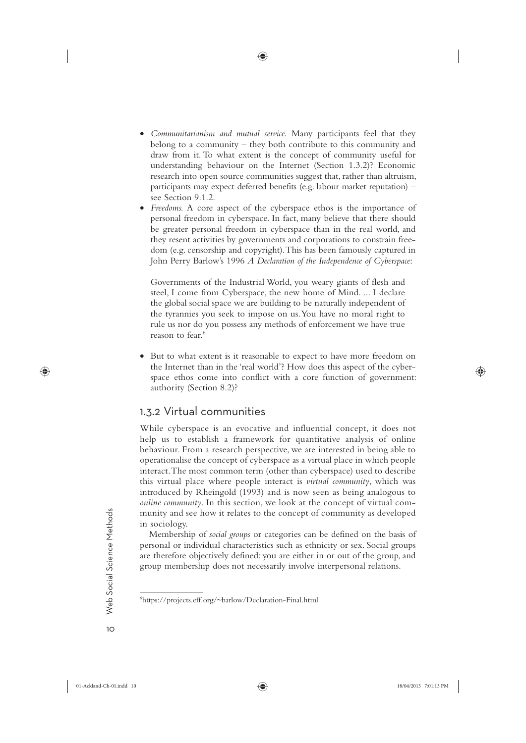x *Communitarianism and mutual service.* Many participants feel that they belong to a community – they both contribute to this community and draw from it. To what extent is the concept of community useful for understanding behaviour on the Internet (Section 1.3.2)? Economic research into open source communities suggest that, rather than altruism, participants may expect deferred benefits (e.g. labour market reputation) – see Section 9.1.2.

◈

*Freedoms.* A core aspect of the cyberspace ethos is the importance of personal freedom in cyberspace. In fact, many believe that there should be greater personal freedom in cyberspace than in the real world, and they resent activities by governments and corporations to constrain freedom (e.g. censorship and copyright). This has been famously captured in John Perry Barlow's 1996 *A Declaration of the Independence of Cyberspace*:

Governments of the Industrial World, you weary giants of flesh and steel, I come from Cyberspace, the new home of Mind. ... I declare the global social space we are building to be naturally independent of the tyrannies you seek to impose on us. You have no moral right to rule us nor do you possess any methods of enforcement we have true reason to fear.<sup>6</sup>

But to what extent is it reasonable to expect to have more freedom on the Internet than in the 'real world'? How does this aspect of the cyberspace ethos come into conflict with a core function of government: authority (Section 8.2)?

# 1.3.2 Virtual communities

While cyberspace is an evocative and influential concept, it does not help us to establish a framework for quantitative analysis of online behaviour. From a research perspective, we are interested in being able to operationalise the concept of cyberspace as a virtual place in which people interact. The most common term (other than cyberspace) used to describe this virtual place where people interact is *virtual community*, which was introduced by Rheingold (1993) and is now seen as being analogous to *online community*. In this section, we look at the concept of virtual community and see how it relates to the concept of community as developed in sociology.

Membership of *social groups* or categories can be defined on the basis of personal or individual characteristics such as ethnicity or sex. Social groups are therefore objectively defined: you are either in or out of the group, and group membership does not necessarily involve interpersonal relations.

⊕

01-Ackland-Ch-01.indd 10 18/04/2013 7:01:13 PM

<sup>6</sup> https://projects.eff.org/~barlow/Declaration-Final.html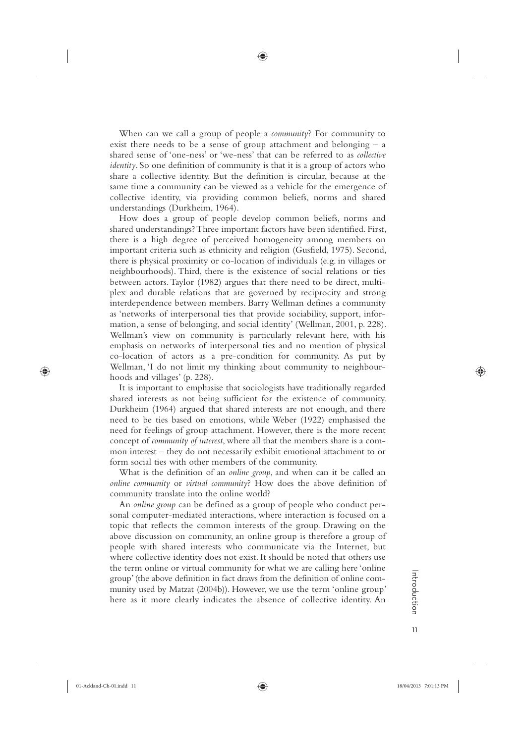When can we call a group of people a *community*? For community to exist there needs to be a sense of group attachment and belonging – a shared sense of 'one-ness' or 'we-ness' that can be referred to as *collective identity*. So one definition of community is that it is a group of actors who share a collective identity. But the definition is circular, because at the same time a community can be viewed as a vehicle for the emergence of collective identity, via providing common beliefs, norms and shared understandings (Durkheim, 1964).

◈

How does a group of people develop common beliefs, norms and shared understandings? Three important factors have been identified. First, there is a high degree of perceived homogeneity among members on important criteria such as ethnicity and religion (Gusfield, 1975). Second, there is physical proximity or co-location of individuals (e.g. in villages or neighbourhoods). Third, there is the existence of social relations or ties between actors. Taylor (1982) argues that there need to be direct, multiplex and durable relations that are governed by reciprocity and strong interdependence between members. Barry Wellman defines a community as 'networks of interpersonal ties that provide sociability, support, information, a sense of belonging, and social identity' (Wellman, 2001, p. 228). Wellman's view on community is particularly relevant here, with his emphasis on networks of interpersonal ties and no mention of physical co-location of actors as a pre-condition for community. As put by Wellman, 'I do not limit my thinking about community to neighbourhoods and villages' (p. 228).

It is important to emphasise that sociologists have traditionally regarded shared interests as not being sufficient for the existence of community. Durkheim (1964) argued that shared interests are not enough, and there need to be ties based on emotions, while Weber (1922) emphasised the need for feelings of group attachment. However, there is the more recent concept of *community of interest*, where all that the members share is a common interest – they do not necessarily exhibit emotional attachment to or form social ties with other members of the community.

What is the definition of an *online group*, and when can it be called an *online community* or *virtual community*? How does the above definition of community translate into the online world?

An *online group* can be defined as a group of people who conduct personal computer-mediated interactions, where interaction is focused on a topic that reflects the common interests of the group. Drawing on the above discussion on community, an online group is therefore a group of people with shared interests who communicate via the Internet, but where collective identity does not exist. It should be noted that others use the term online or virtual community for what we are calling here 'online group' (the above definition in fact draws from the definition of online community used by Matzat (2004b)). However, we use the term 'online group' here as it more clearly indicates the absence of collective identity. An

◈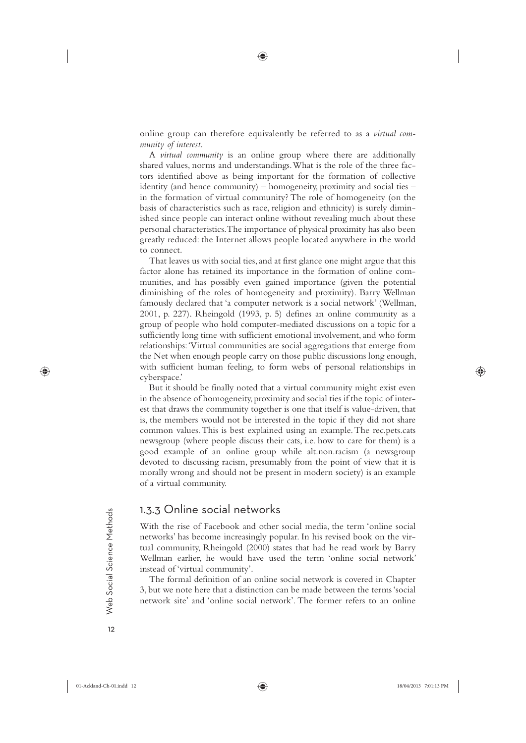online group can therefore equivalently be referred to as a *virtual community of interest*.

◈

A *virtual community* is an online group where there are additionally shared values, norms and understandings. What is the role of the three factors identified above as being important for the formation of collective identity (and hence community) – homogeneity, proximity and social ties – in the formation of virtual community? The role of homogeneity (on the basis of characteristics such as race, religion and ethnicity) is surely diminished since people can interact online without revealing much about these personal characteristics. The importance of physical proximity has also been greatly reduced: the Internet allows people located anywhere in the world to connect.

That leaves us with social ties, and at first glance one might argue that this factor alone has retained its importance in the formation of online communities, and has possibly even gained importance (given the potential diminishing of the roles of homogeneity and proximity). Barry Wellman famously declared that 'a computer network is a social network' (Wellman, 2001, p. 227). Rheingold (1993, p. 5) defines an online community as a group of people who hold computer-mediated discussions on a topic for a sufficiently long time with sufficient emotional involvement, and who form relationships: 'Virtual communities are social aggregations that emerge from the Net when enough people carry on those public discussions long enough, with sufficient human feeling, to form webs of personal relationships in cyberspace.'

But it should be finally noted that a virtual community might exist even in the absence of homogeneity, proximity and social ties if the topic of interest that draws the community together is one that itself is value-driven, that is, the members would not be interested in the topic if they did not share common values. This is best explained using an example. The rec.pets.cats newsgroup (where people discuss their cats, i.e. how to care for them) is a good example of an online group while alt.non.racism (a newsgroup devoted to discussing racism, presumably from the point of view that it is morally wrong and should not be present in modern society) is an example of a virtual community.

# 1.3.3 Online social networks

With the rise of Facebook and other social media, the term 'online social networks' has become increasingly popular. In his revised book on the virtual community, Rheingold (2000) states that had he read work by Barry Wellman earlier, he would have used the term 'online social network' instead of 'virtual community'.

The formal definition of an online social network is covered in Chapter 3, but we note here that a distinction can be made between the terms 'social network site' and 'online social network'. The former refers to an online

**Web Social Science Methods** Web Social Science Methods

◈

 $12$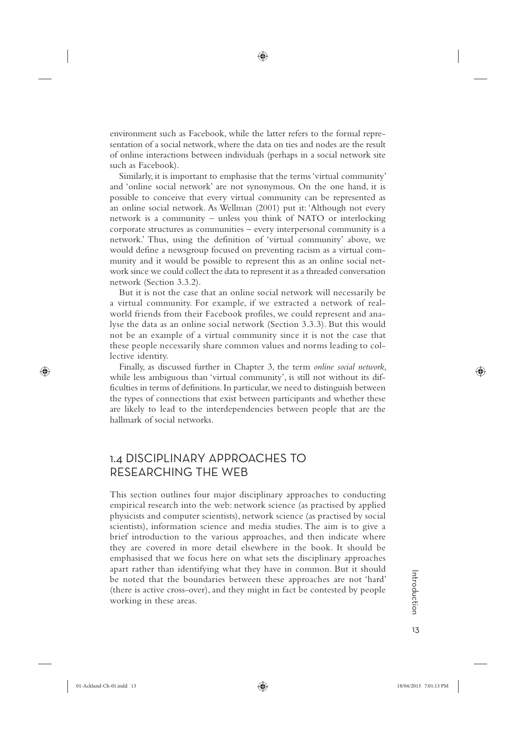environment such as Facebook, while the latter refers to the formal representation of a social network, where the data on ties and nodes are the result of online interactions between individuals (perhaps in a social network site such as Facebook).

◈

Similarly, it is important to emphasise that the terms 'virtual community' and 'online social network' are not synonymous. On the one hand, it is possible to conceive that every virtual community can be represented as an online social network. As Wellman (2001) put it: 'Although not every network is a community – unless you think of NATO or interlocking corporate structures as communities – every interpersonal community is a network.' Thus, using the definition of 'virtual community' above, we would define a newsgroup focused on preventing racism as a virtual community and it would be possible to represent this as an online social network since we could collect the data to represent it as a threaded conversation network (Section 3.3.2).

But it is not the case that an online social network will necessarily be a virtual community. For example, if we extracted a network of realworld friends from their Facebook profiles, we could represent and analyse the data as an online social network (Section 3.3.3). But this would not be an example of a virtual community since it is not the case that these people necessarily share common values and norms leading to collective identity.

Finally, as discussed further in Chapter 3, the term *online social network*, while less ambiguous than 'virtual community', is still not without its difficulties in terms of definitions. In particular, we need to distinguish between the types of connections that exist between participants and whether these are likely to lead to the interdependencies between people that are the hallmark of social networks.

# 1.4 DISCIPLINARY APPROACHES TO RESEARCHING THE WEB

This section outlines four major disciplinary approaches to conducting empirical research into the web: network science (as practised by applied physicists and computer scientists), network science (as practised by social scientists), information science and media studies. The aim is to give a brief introduction to the various approaches, and then indicate where they are covered in more detail elsewhere in the book. It should be emphasised that we focus here on what sets the disciplinary approaches apart rather than identifying what they have in common. But it should be noted that the boundaries between these approaches are not 'hard' (there is active cross-over), and they might in fact be contested by people working in these areas.

♠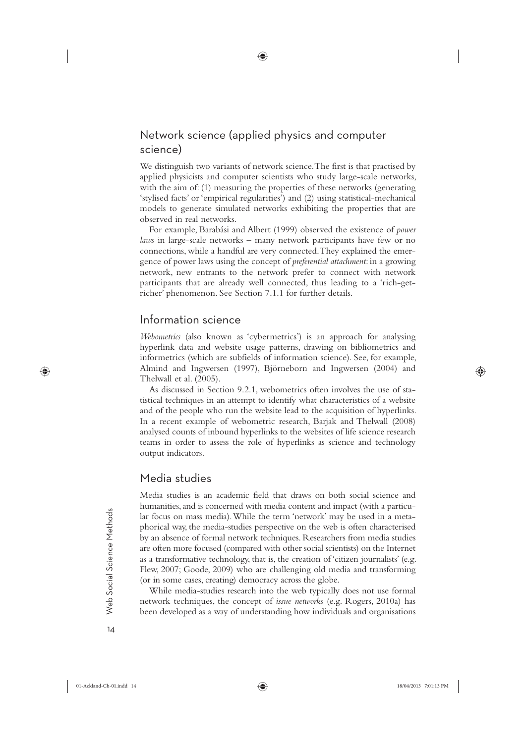# Network science (applied physics and computer science)

◈

We distinguish two variants of network science. The first is that practised by applied physicists and computer scientists who study large-scale networks, with the aim of: (1) measuring the properties of these networks (generating 'stylised facts' or 'empirical regularities') and (2) using statistical-mechanical models to generate simulated networks exhibiting the properties that are observed in real networks.

For example, Barabási and Albert (1999) observed the existence of *power laws* in large-scale networks – many network participants have few or no connections, while a handful are very connected. They explained the emergence of power laws using the concept of *preferential attachment*: in a growing network, new entrants to the network prefer to connect with network participants that are already well connected, thus leading to a 'rich-getricher' phenomenon. See Section 7.1.1 for further details.

### Information science

*Webometrics* (also known as 'cybermetrics') is an approach for analysing hyperlink data and website usage patterns, drawing on bibliometrics and informetrics (which are subfields of information science). See, for example, Almind and Ingwersen (1997), Björneborn and Ingwersen (2004) and Thelwall et al. (2005).

As discussed in Section 9.2.1, webometrics often involves the use of statistical techniques in an attempt to identify what characteristics of a website and of the people who run the website lead to the acquisition of hyperlinks. In a recent example of webometric research, Barjak and Thelwall (2008) analysed counts of inbound hyperlinks to the websites of life science research teams in order to assess the role of hyperlinks as science and technology output indicators.

# Media studies

Media studies is an academic field that draws on both social science and humanities, and is concerned with media content and impact (with a particular focus on mass media). While the term 'network' may be used in a metaphorical way, the media-studies perspective on the web is often characterised by an absence of formal network techniques. Researchers from media studies are often more focused (compared with other social scientists) on the Internet as a transformative technology, that is, the creation of 'citizen journalists' (e.g. Flew, 2007; Goode, 2009) who are challenging old media and transforming (or in some cases, creating) democracy across the globe.

While media-studies research into the web typically does not use formal network techniques, the concept of *issue networks* (e.g. Rogers, 2010a) has been developed as a way of understanding how individuals and organisations

# **Web Social Science Methods** Neb Social Science Methods

◈

 $14$ 

01-Ackland-Ch-01.indd 14 18/04/2013 7:01:13 PM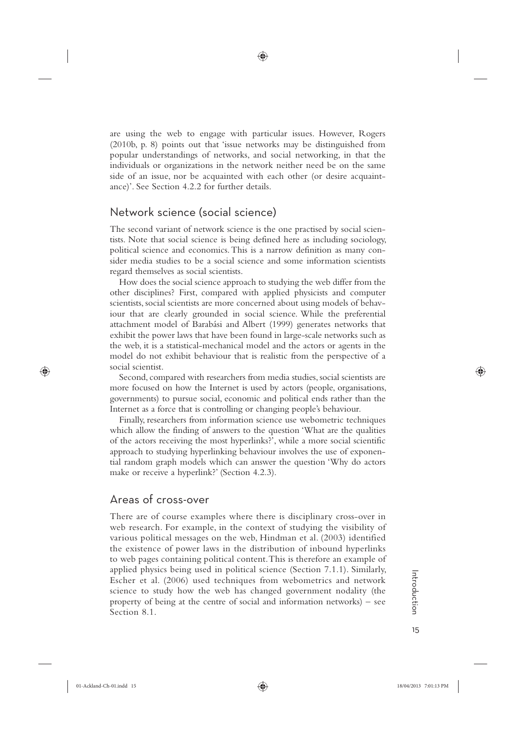are using the web to engage with particular issues. However, Rogers (2010b, p. 8) points out that 'issue networks may be distinguished from popular understandings of networks, and social networking, in that the individuals or organizations in the network neither need be on the same side of an issue, nor be acquainted with each other (or desire acquaintance)'. See Section 4.2.2 for further details.

◈

# Network science (social science)

The second variant of network science is the one practised by social scientists. Note that social science is being defined here as including sociology, political science and economics. This is a narrow definition as many consider media studies to be a social science and some information scientists regard themselves as social scientists.

How does the social science approach to studying the web differ from the other disciplines? First, compared with applied physicists and computer scientists, social scientists are more concerned about using models of behaviour that are clearly grounded in social science. While the preferential attachment model of Barabási and Albert (1999) generates networks that exhibit the power laws that have been found in large-scale networks such as the web, it is a statistical-mechanical model and the actors or agents in the model do not exhibit behaviour that is realistic from the perspective of a social scientist.

Second, compared with researchers from media studies, social scientists are more focused on how the Internet is used by actors (people, organisations, governments) to pursue social, economic and political ends rather than the Internet as a force that is controlling or changing people's behaviour.

Finally, researchers from information science use webometric techniques which allow the finding of answers to the question 'What are the qualities of the actors receiving the most hyperlinks?', while a more social scientific approach to studying hyperlinking behaviour involves the use of exponential random graph models which can answer the question 'Why do actors make or receive a hyperlink?' (Section 4.2.3).

# Areas of cross-over

There are of course examples where there is disciplinary cross-over in web research. For example, in the context of studying the visibility of various political messages on the web, Hindman et al. (2003) identified the existence of power laws in the distribution of inbound hyperlinks to web pages containing political content. This is therefore an example of applied physics being used in political science (Section 7.1.1). Similarly, Escher et al. (2006) used techniques from webometrics and network science to study how the web has changed government nodality (the property of being at the centre of social and information networks) – see Section 8.1.

♠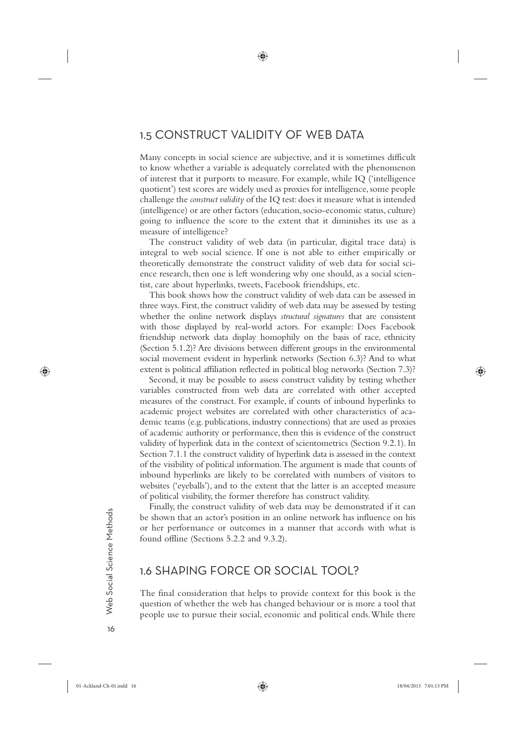# 1.5 CONSTRUCT VALIDITY OF WEB DATA

♠

Many concepts in social science are subjective, and it is sometimes difficult to know whether a variable is adequately correlated with the phenomenon of interest that it purports to measure. For example, while IQ ('intelligence quotient') test scores are widely used as proxies for intelligence, some people challenge the *construct validity* of the IQ test: does it measure what is intended (intelligence) or are other factors (education, socio-economic status, culture) going to influence the score to the extent that it diminishes its use as a measure of intelligence?

The construct validity of web data (in particular, digital trace data) is integral to web social science. If one is not able to either empirically or theoretically demonstrate the construct validity of web data for social science research, then one is left wondering why one should, as a social scientist, care about hyperlinks, tweets, Facebook friendships, etc.

This book shows how the construct validity of web data can be assessed in three ways. First, the construct validity of web data may be assessed by testing whether the online network displays *structural signatures* that are consistent with those displayed by real-world actors. For example: Does Facebook friendship network data display homophily on the basis of race, ethnicity (Section 5.1.2)? Are divisions between different groups in the environmental social movement evident in hyperlink networks (Section 6.3)? And to what extent is political affiliation reflected in political blog networks (Section 7.3)?

Second, it may be possible to assess construct validity by testing whether variables constructed from web data are correlated with other accepted measures of the construct. For example, if counts of inbound hyperlinks to academic project websites are correlated with other characteristics of academic teams (e.g. publications, industry connections) that are used as proxies of academic authority or performance, then this is evidence of the construct validity of hyperlink data in the context of scientometrics (Section 9.2.1). In Section 7.1.1 the construct validity of hyperlink data is assessed in the context of the visibility of political information. The argument is made that counts of inbound hyperlinks are likely to be correlated with numbers of visitors to websites ('eyeballs'), and to the extent that the latter is an accepted measure of political visibility, the former therefore has construct validity.

Finally, the construct validity of web data may be demonstrated if it can be shown that an actor's position in an online network has influence on his or her performance or outcomes in a manner that accords with what is found offline (Sections 5.2.2 and 9.3.2).

# 1.6 SHAPING FORCE OR SOCIAL TOOL?

The final consideration that helps to provide context for this book is the question of whether the web has changed behaviour or is more a tool that people use to pursue their social, economic and political ends. While there

Web Social Science Methods 16Web Social Science Methods  $16$ 

⊕

01-Ackland-Ch-01.indd 16 18/04/2013 7:01:13 PM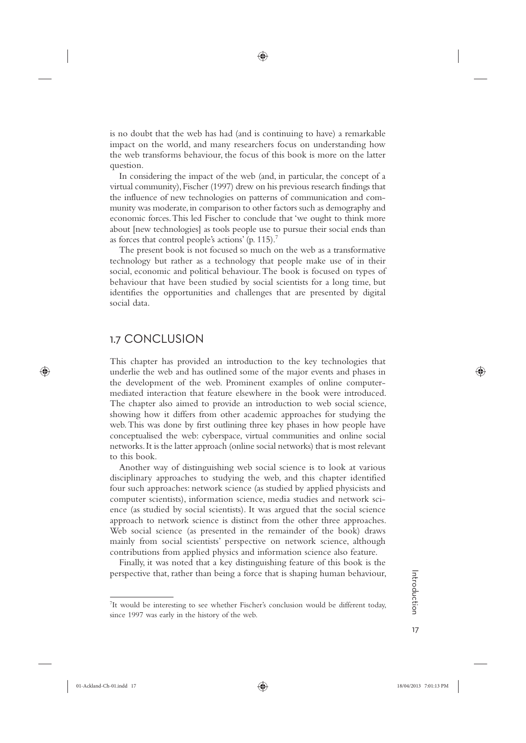is no doubt that the web has had (and is continuing to have) a remarkable impact on the world, and many researchers focus on understanding how the web transforms behaviour, the focus of this book is more on the latter question.

◈

In considering the impact of the web (and, in particular, the concept of a virtual community), Fischer (1997) drew on his previous research findings that the influence of new technologies on patterns of communication and community was moderate, in comparison to other factors such as demography and economic forces. This led Fischer to conclude that 'we ought to think more about [new technologies] as tools people use to pursue their social ends than as forces that control people's actions' (p. 115).<sup>7</sup>

The present book is not focused so much on the web as a transformative technology but rather as a technology that people make use of in their social, economic and political behaviour. The book is focused on types of behaviour that have been studied by social scientists for a long time, but identifies the opportunities and challenges that are presented by digital social data.

# 1.7 CONCLUSION

⊕

This chapter has provided an introduction to the key technologies that underlie the web and has outlined some of the major events and phases in the development of the web. Prominent examples of online computermediated interaction that feature elsewhere in the book were introduced. The chapter also aimed to provide an introduction to web social science, showing how it differs from other academic approaches for studying the web. This was done by first outlining three key phases in how people have conceptualised the web: cyberspace, virtual communities and online social networks. It is the latter approach (online social networks) that is most relevant to this book.

Another way of distinguishing web social science is to look at various disciplinary approaches to studying the web, and this chapter identified four such approaches: network science (as studied by applied physicists and computer scientists), information science, media studies and network science (as studied by social scientists). It was argued that the social science approach to network science is distinct from the other three approaches. Web social science (as presented in the remainder of the book) draws mainly from social scientists' perspective on network science, although contributions from applied physics and information science also feature.

Finally, it was noted that a key distinguishing feature of this book is the perspective that, rather than being a force that is shaping human behaviour,

Introductior

01-Ackland-Ch-01.indd 17 18/04/2013 7:01:13 PM

<sup>&</sup>lt;sup>7</sup>It would be interesting to see whether Fischer's conclusion would be different today, since 1997 was early in the history of the web.